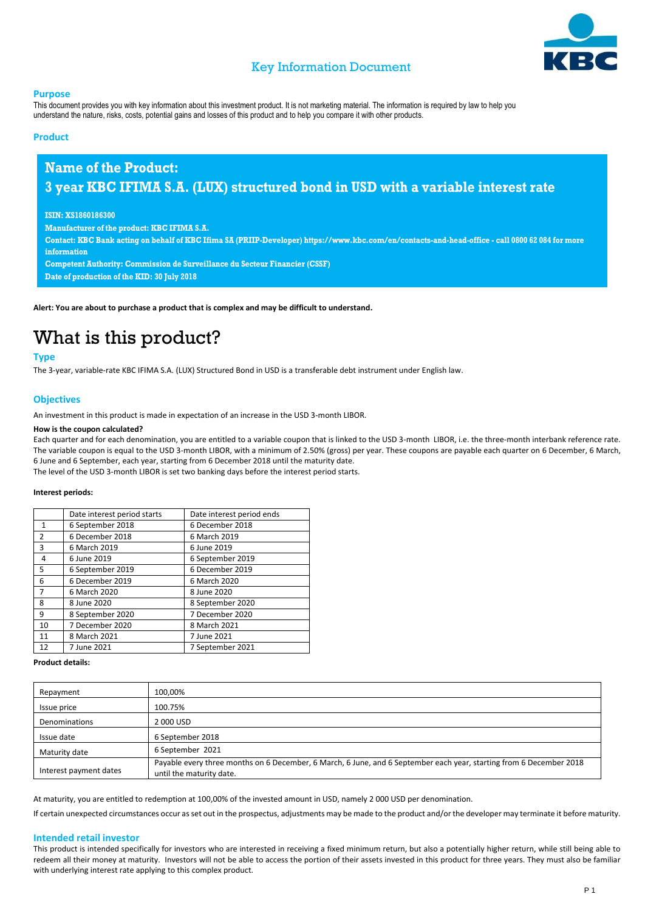

### Key Information Document

#### **Purpose**

This document provides you with key information about this investment product. It is not marketing material. The information is required by law to help you understand the nature, risks, costs, potential gains and losses of this product and to help you compare it with other products.

#### **Product**

### **Name of the Product: 3 year KBC IFIMA S.A. (LUX) structured bond in USD with a variable interest rate**

#### **ISIN: XS1860186300**

**Manufacturer of the product: KBC IFIMA S.A.**

**Contact: KBC Bank acting on behalf of KBC Ifima SA (PRIIP-Developer) https://www.kbc.com/en/contacts-and-head-office - call 0800 62 084 for more information**

**Competent Authority: Commission de Surveillance du Secteur Financier (CSSF) Date of production of the KID: 30 July 2018**

**Alert: You are about to purchase a product that is complex and may be difficult to understand.**

# What is this product?

#### **Type**

The 3-year, variable-rate KBC IFIMA S.A. (LUX) Structured Bond in USD is a transferable debt instrument under English law.

#### **Objectives**

An investment in this product is made in expectation of an increase in the USD 3-month LIBOR.

#### **How is the coupon calculated?**

Each quarter and for each denomination, you are entitled to a variable coupon that is linked to the USD 3-month LIBOR, i.e. the three-month interbank reference rate. The variable coupon is equal to the USD 3-month LIBOR, with a minimum of 2.50% (gross) per year. These coupons are payable each quarter on 6 December, 6 March, 6 June and 6 September, each year, starting from 6 December 2018 until the maturity date.

The level of the USD 3-month LIBOR is set two banking days before the interest period starts.

#### **Interest periods:**

|                | Date interest period starts | Date interest period ends |
|----------------|-----------------------------|---------------------------|
| $\mathbf{1}$   | 6 September 2018            | 6 December 2018           |
| $\overline{2}$ | 6 December 2018             | 6 March 2019              |
| 3              | 6 March 2019                | 6 June 2019               |
| $\overline{4}$ | 6 June 2019                 | 6 September 2019          |
| 5              | 6 September 2019            | 6 December 2019           |
| 6              | 6 December 2019             | 6 March 2020              |
| $\overline{7}$ | 6 March 2020                | 8 June 2020               |
| 8              | 8 June 2020                 | 8 September 2020          |
| 9              | 8 September 2020            | 7 December 2020           |
| 10             | 7 December 2020             | 8 March 2021              |
| 11             | 8 March 2021                | 7 June 2021               |
| 12             | 7 June 2021                 | 7 September 2021          |

#### **Product details:**

| Repayment              | 100,00%                                                                                                                                         |
|------------------------|-------------------------------------------------------------------------------------------------------------------------------------------------|
| Issue price            | 100.75%                                                                                                                                         |
| Denominations          | 2 000 USD                                                                                                                                       |
| Issue date             | 6 September 2018                                                                                                                                |
| Maturity date          | 6 September 2021                                                                                                                                |
| Interest payment dates | Payable every three months on 6 December, 6 March, 6 June, and 6 September each year, starting from 6 December 2018<br>until the maturity date. |

At maturity, you are entitled to redemption at 100,00% of the invested amount in USD, namely 2 000 USD per denomination.

If certain unexpected circumstances occur as set out in the prospectus, adjustments may be made to the product and/or the developer may terminate it before maturity.

#### **Intended retail investor**

This product is intended specifically for investors who are interested in receiving a fixed minimum return, but also a potentially higher return, while still being able to redeem all their money at maturity. Investors will not be able to access the portion of their assets invested in this product for three years. They must also be familiar with underlying interest rate applying to this complex product.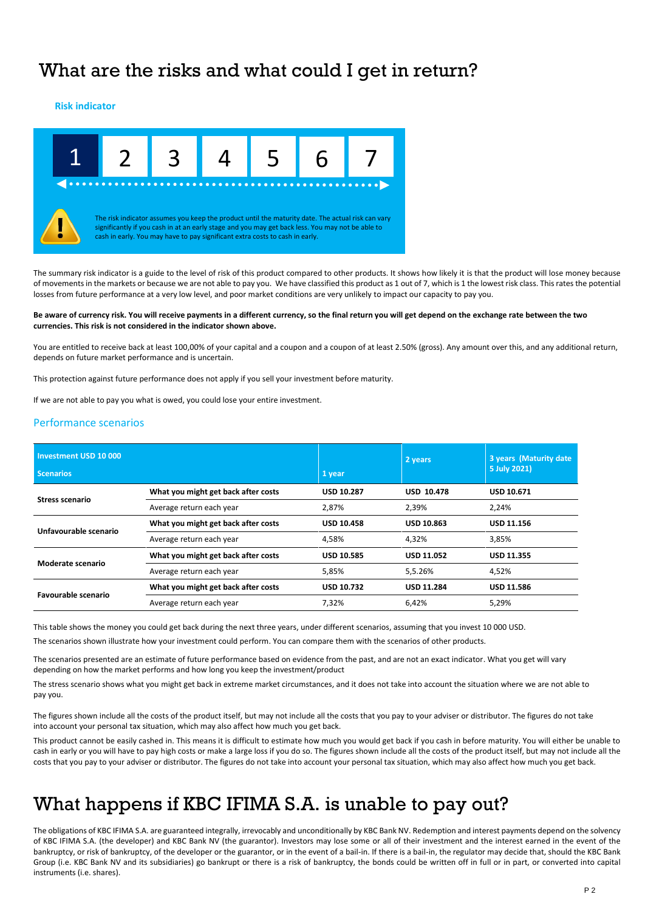### What are the risks and what could I get in return?

#### **Risk indicator**



The summary risk indicator is a guide to the level of risk of this product compared to other products. It shows how likely it is that the product will lose money because of movements in the markets or because we are not able to pay you. We have classified this product as 1 out of 7, which is 1 the lowest risk class. This rates the potential losses from future performance at a very low level, and poor market conditions are very unlikely to impact our capacity to pay you.

#### **Be aware of currency risk. You will receive payments in a different currency, so the final return you will get depend on the exchange rate between the two currencies. This risk is not considered in the indicator shown above.**

You are entitled to receive back at least 100,00% of your capital and a coupon and a coupon of at least 2.50% (gross). Any amount over this, and any additional return, depends on future market performance and is uncertain.

This protection against future performance does not apply if you sell your investment before maturity.

If we are not able to pay you what is owed, you could lose your entire investment.

#### Performance scenarios

| Investment USD 10 000<br><b>Scenarios</b> |                                     | 1 year            | 2 years           | 3 years (Maturity date<br>5 July 2021) |
|-------------------------------------------|-------------------------------------|-------------------|-------------------|----------------------------------------|
| Stress scenario                           | What you might get back after costs | <b>USD 10.287</b> | <b>USD 10.478</b> | <b>USD 10.671</b>                      |
|                                           | Average return each year            | 2,87%             | 2,39%             | 2,24%                                  |
| Unfavourable scenario                     | What you might get back after costs | <b>USD 10.458</b> | <b>USD 10.863</b> | <b>USD 11.156</b>                      |
|                                           | Average return each year            | 4,58%             | 4.32%             | 3,85%                                  |
| Moderate scenario                         | What you might get back after costs | <b>USD 10.585</b> | <b>USD 11.052</b> | USD 11.355                             |
|                                           | Average return each year            | 5,85%             | 5,5.26%           | 4,52%                                  |
| <b>Favourable scenario</b>                | What you might get back after costs | <b>USD 10.732</b> | <b>USD 11.284</b> | <b>USD 11.586</b>                      |
|                                           | Average return each year            | 7.32%             | 6.42%             | 5,29%                                  |

This table shows the money you could get back during the next three years, under different scenarios, assuming that you invest 10 000 USD.

The scenarios shown illustrate how your investment could perform. You can compare them with the scenarios of other products.

The scenarios presented are an estimate of future performance based on evidence from the past, and are not an exact indicator. What you get will vary depending on how the market performs and how long you keep the investment/product

The stress scenario shows what you might get back in extreme market circumstances, and it does not take into account the situation where we are not able to pay you.

The figures shown include all the costs of the product itself, but may not include all the costs that you pay to your adviser or distributor. The figures do not take into account your personal tax situation, which may also affect how much you get back.

This product cannot be easily cashed in. This means it is difficult to estimate how much you would get back if you cash in before maturity. You will either be unable to cash in early or you will have to pay high costs or make a large loss if you do so. The figures shown include all the costs of the product itself, but may not include all the costs that you pay to your adviser or distributor. The figures do not take into account your personal tax situation, which may also affect how much you get back.

### What happens if KBC IFIMA S.A. is unable to pay out?

The obligations of KBC IFIMA S.A. are guaranteed integrally, irrevocably and unconditionally by KBC Bank NV. Redemption and interest payments depend on the solvency of KBC IFIMA S.A. (the developer) and KBC Bank NV (the guarantor). Investors may lose some or all of their investment and the interest earned in the event of the bankruptcy, or risk of bankruptcy, of the developer or the guarantor, or in the event of a bail-in. If there is a bail-in, the regulator may decide that, should the KBC Bank Group (i.e. KBC Bank NV and its subsidiaries) go bankrupt or there is a risk of bankruptcy, the bonds could be written off in full or in part, or converted into capital instruments (i.e. shares).